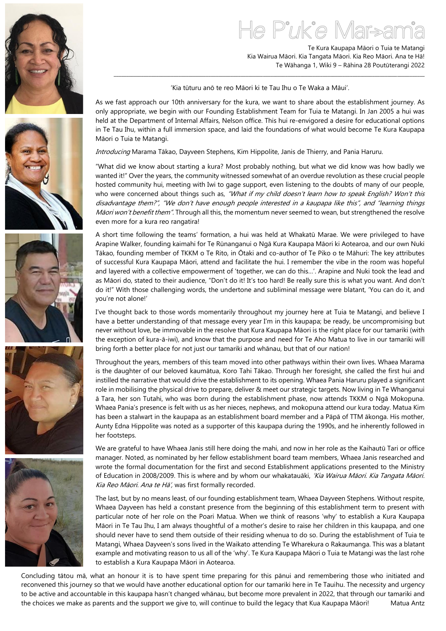

Te Kura Kaupapa Māori o Tuia te Matangi Kia Wairua Māori. Kia Tangata Māori. Kia Reo Māori. Ana te Hā! Te Wāhanga 1, Wiki 9 – Rāhina 28 Poutūterangi 2022

'Kia tūturu anō te reo Māori ki te Tau Ihu o Te Waka a Māui'.

\_\_\_\_\_\_\_\_\_\_\_\_\_\_\_\_\_\_\_\_\_\_\_\_\_\_\_\_\_\_\_\_\_\_\_\_\_\_\_\_\_\_\_\_\_\_\_\_\_\_\_\_\_\_\_\_\_\_\_\_\_\_\_\_\_\_\_\_\_\_\_\_\_\_\_\_\_\_\_\_\_\_\_\_\_\_\_\_\_\_\_\_\_\_\_\_\_\_\_\_\_\_\_\_\_\_\_\_\_\_\_\_\_\_\_\_\_\_\_\_\_\_\_\_\_

As we fast approach our 10th anniversary for the kura, we want to share about the establishment journey. As only appropriate, we begin with our Founding Establishment Team for Tuia te Matangi. In Jan 2005 a hui was held at the Department of Internal Affairs, Nelson office. This hui re-envigored a desire for educational options in Te Tau Ihu, within a full immersion space, and laid the foundations of what would become Te Kura Kaupapa Māori o Tuia te Matangi.

Introducing Marama Tākao, Dayveen Stephens, Kim Hippolite, Janis de Thierry, and Pania Haruru.

"What did we know about starting a kura? Most probably nothing, but what we did know was how badly we wanted it!" Over the years, the community witnessed somewhat of an overdue revolution as these crucial people hosted community hui, meeting with Iwi to gage support, even listening to the doubts of many of our people, who were concerned about things such as, "What if my child doesn't learn how to speak English? Won't this disadvantage them?", "We don't have enough people interested in a kaupapa like this", and "learning things Māori won't benefit them". Through all this, the momentum never seemed to wean, but strengthened the resolve even more for a kura reo rangatira!

A short time following the teams' formation, a hui was held at Whakatū Marae. We were privileged to have Arapine Walker, founding kaimahi for Te Rūnanganui o Ngā Kura Kaupapa Māori ki Aotearoa, and our own Nuki Tākao, founding member of TKKM o Te Rito, in Ōtaki and co-author of Te Piko o te Māhuri: The key attributes of successful Kura Kaupapa Māori, attend and facilitate the hui. I remember the vibe in the room was hopeful and layered with a collective empowerment of 'together, we can do this…'. Arapine and Nuki took the lead and as Māori do, stated to their audience, "Don't do it! It's too hard! Be really sure this is what you want. And don't do it!" With those challenging words, the undertone and subliminal message were blatant, 'You can do it, and you're not alone!'

I've thought back to those words momentarily throughout my journey here at Tuia te Matangi, and believe I have a better understanding of that message every year I'm in this kaupapa; be ready, be uncompromising but never without love, be immovable in the resolve that Kura Kaupapa Māori is the right place for our tamariki (with the exception of kura-ā-iwi), and know that the purpose and need for Te Aho Matua to live in our tamariki will bring forth a better place for not just our tamariki and whānau, but that of our nation!

Throughout the years, members of this team moved into other pathways within their own lives. Whaea Marama is the daughter of our beloved kaumātua, Koro Tahi Tākao. Through her foresight, she called the first hui and instilled the narrative that would drive the establishment to its opening. Whaea Pania Haruru played a significant role in mobilising the physical drive to prepare, deliver & meet our strategic targets. Now living in Te Whanganui ā Tara, her son Tutahi, who was born during the establishment phase, now attends TKKM o Ngā Mokopuna. Whaea Pania's presence is felt with us as her nieces, nephews, and mokopuna attend our kura today. Matua Kim has been a stalwart in the kaupapa as an establishment board member and a Pāpā of TTM ākonga. His mother, Aunty Edna Hippolite was noted as a supporter of this kaupapa during the 1990s, and he inherently followed in her footsteps.

We are grateful to have Whaea Janis still here doing the mahi, and now in her role as the Kaihautū Tari or office manager. Noted, as nominated by her fellow establishment board team members, Whaea Janis researched and wrote the formal documentation for the first and second Establishment applications presented to the Ministry of Education in 2008/2009. This is where and by whom our whakatauāki, 'Kia Wairua Māori. Kia Tangata Māori. Kia Reo Māori. Ana te Hā', was first formally recorded.

The last, but by no means least, of our founding establishment team, Whaea Dayveen Stephens. Without respite, Whaea Dayveen has held a constant presence from the beginning of this establishment term to present with particular note of her role on the Poari Matua. When we think of reasons 'why' to establish a Kura Kaupapa Māori in Te Tau Ihu, I am always thoughtful of a mother's desire to raise her children in this kaupapa, and one should never have to send them outside of their residing whenua to do so. During the establishment of Tuia te Matangi, Whaea Dayveen's sons lived in the Waikato attending Te Wharekura o Rakaumanga. This was a blatant example and motivating reason to us all of the 'why'. Te Kura Kaupapa Māori o Tuia te Matangi was the last rohe to establish a Kura Kaupapa Māori in Aotearoa.

Concluding tātou mā, what an honour it is to have spent time preparing for this pānui and remembering those who initiated and reconvened this journey so that we would have another educational option for our tamariki here in Te Tauihu. The necessity and urgency to be active and accountable in this kaupapa hasn't changed whānau, but become more prevalent in 2022, that through our tamariki and the choices we make as parents and the support we give to, will continue to build the legacy that Kua Kaupapa Māori! Matua Antz







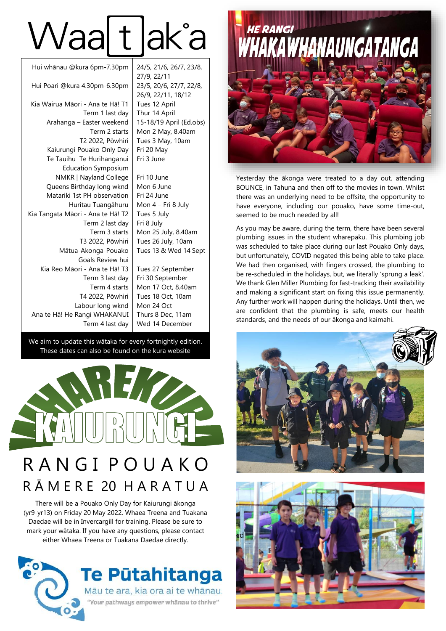# Waatdaka

| Hui whānau @kura 6pm-7.30pm       | 24/5, 21/6, 2  |
|-----------------------------------|----------------|
|                                   | 27/9, 22/11    |
| Hui Poari @kura 4.30pm-6.30pm     | 23/5, 20/6, 27 |
|                                   | 26/9, 22/11,   |
| Kia Wairua Māori - Ana te Hā! T1  | Tues 12 April  |
| Term 1 last day                   | Thur 14 April  |
| Arahanga - Easter weekend         | 15-18/19 Apr   |
| Term 2 starts                     | Mon 2 May, 8   |
| T2 2022, Pōwhiri                  | Tues 3 May,    |
| Kaiurungi Pouako Only Day         | Fri 20 May     |
| Te Tauihu Te Hurihanganui         | Fri 3 June     |
| <b>Education Symposium</b>        |                |
| NMKR   Nayland College            | Fri 10 June    |
| Queens Birthday long wknd         | Mon 6 June     |
| Matariki 1st PH observation       | Fri 24 June    |
| Huritau Tuangāhuru                | Mon 4 – Fri 8  |
| Kia Tangata Māori - Ana te Hā! T2 | Tues 5 July    |
| Term 2 last day                   | Fri 8 July     |
| Term 3 starts                     | Mon 25 July,   |
| T3 2022, Pōwhiri                  | Tues 26 July,  |
| Mātua-Akonga-Pouako               | Tues 13 & W    |
| Goals Review hui                  |                |
| Kia Reo Māori - Ana te Hā! T3     | Tues 27 Sept   |
| Term 3 last day                   | Fri 30 Septen  |
| Term 4 starts                     | Mon 17 Oct,    |
| T4 2022, Pōwhiri                  | Tues 18 Oct,   |
| Labour long wknd                  | Mon 24 Oct     |
| Ana te Hā! He Rangi WHAKANUI      | Thurs 8 Dec,   |
| Term 4 last day                   | Wed 14 Dece    |

 $\begin{array}{|c|c|c|c|}\n\hline\n & 24/5 & 21/6 & 26/7 & 23/8 \\
\hline\n\end{array}$ 23/5, 20/6, 27/7, 22/8, 18/12 Tues 12 April ril (Ed.obs)  $8.40$ am  $10am$ 

8 July 8.40am 10am ed 14 Sept

tember nber 8.40am  $10<sub>am</sub>$  $11am$ ember

We aim to update this wātaka for every fortnightly edition. These dates can also be found on the kura website



### R A N G I P O U A K O R Ā M E R E 20 H A R A T U A

There will be a Pouako Only Day for Kaiurungi ākonga (yr9-yr13) on Friday 20 May 2022. Whaea Treena and Tuakana Daedae will be in Invercargill for training. Please be sure to mark your wātaka. If you have any questions, please contact either Whaea Treena or Tuakana Daedae directly.





Yesterday the ākonga were treated to a day out, attending BOUNCE, in Tahuna and then off to the movies in town. Whilst there was an underlying need to be offsite, the opportunity to have everyone, including our pouako, have some time-out, seemed to be much needed by all!

As you may be aware, during the term, there have been several plumbing issues in the student wharepaku. This plumbing job was scheduled to take place during our last Pouako Only days, but unfortunately, COVID negated this being able to take place. We had then organised, with fingers crossed, the plumbing to be re-scheduled in the holidays, but, we literally 'sprung a leak'. We thank Glen Miller Plumbing for fast-tracking their availability and making a significant start on fixing this issue permanently. Any further work will happen during the holidays. Until then, we are confident that the plumbing is safe, meets our health standards, and the needs of our ākonga and kaimahi.



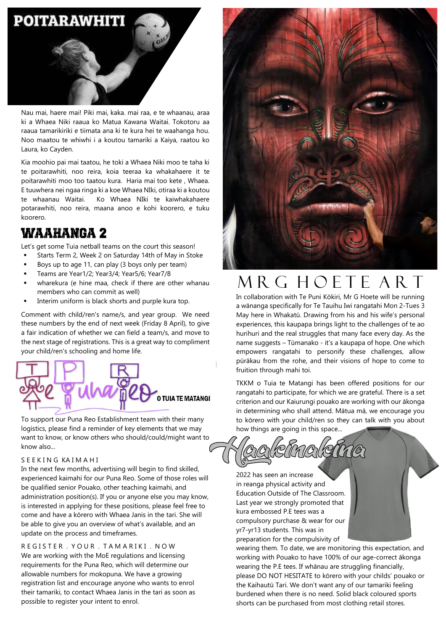#### **POITARAWHITI**



Nau mai, haere mai! Piki mai, kaka. mai raa, e te whaanau, araa ki a Whaea Niki raaua ko Matua Kawana Waitai. Tokotoru aa raaua tamarikiriki e tiimata ana ki te kura hei te waahanga hou. Noo maatou te whiwhi i a koutou tamariki a Kaiya, raatou ko Laura, ko Cayden.

Kia moohio pai mai taatou, he toki a Whaea Niki moo te taha ki te poitarawhiti, noo reira, koia teeraa ka whakahaere it te poitarawhiti moo too taatou kura. Haria mai too kete , Whaea. E tuuwhera nei ngaa ringa ki a koe Whaea NIki, otiraa ki a koutou te whaanau Waitai. Ko Whaea NIki te kaiwhakahaere potarawhiti, noo reira, maana anoo e kohi koorero, e tuku koorero.

#### Waahanga 2

Let's get some Tuia netball teams on the court this season!

- Starts Term 2, Week 2 on Saturday 14th of May in Stoke
- Boys up to age 11, can play (3 boys only per team)
- Teams are Year1/2; Year3/4; Year5/6; Year7/8
- wharekura (e hine maa, check if there are other whanau members who can commit as well)
- Interim uniform is black shorts and purple kura top.

Comment with child/ren's name/s, and year group. We need these numbers by the end of next week (Friday 8 April), to give a fair indication of whether we can field a team/s, and move to the next stage of registrations. This is a great way to compliment your child/ren's schooling and home life.



To support our Puna Reo Establishment team with their many logistics, please find a reminder of key elements that we may want to know, or know others who should/could/might want to know also...

#### S E E K I N G KA I M A H I

In the next few months, advertising will begin to find skilled, experienced kaimahi for our Puna Reo. Some of those roles will be qualified senior Pouako, other teaching kaimahi, and administration position(s). If you or anyone else you may know, is interested in applying for these positions, please feel free to come and have a kōrero with Whaea Janis in the tari. She will be able to give you an overview of what's available, and an update on the process and timeframes.

REGISTER. YOUR. TAMARIKI. NOW We are working with the MoE regulations and licensing requirements for the Puna Reo, which will determine our allowable numbers for mokopuna. We have a growing registration list and encourage anyone who wants to enrol their tamariki, to contact Whaea Janis in the tari as soon as possible to register your intent to enrol.



## M R G H O E T E A R T

In collaboration with Te Puni Kōkiri, Mr G Hoete will be running a wānanga specifically for Te Tauihu Iwi rangatahi Mon 2-Tues 3 May here in Whakatū. Drawing from his and his wife's personal experiences, this kaupapa brings light to the challenges of te ao hurihuri and the real struggles that many face every day. As the name suggests – Tūmanako - it's a kaupapa of hope. One which empowers rangatahi to personify these challenges, allow pūrākau from the rohe, and their visions of hope to come to fruition through mahi toi.

TKKM o Tuia te Matangi has been offered positions for our rangatahi to participate, for which we are grateful. There is a set criterion and our Kaiurungi pouako are working with our ākonga in determining who shall attend. Mātua mā, we encourage you to kōrero with your child/ren so they can talk with you about how things are going in this space...

MOT

2022 has seen an increase in reanga physical activity and Education Outside of The Classroom. Last year we strongly promoted that kura embossed P.E tees was a compulsory purchase & wear for our yr7-yr13 students. This was in preparation for the compulsivity of

wearing them. To date, we are monitoring this expectation, and working with Pouako to have 100% of our age-correct ākonga wearing the P.E tees. If whānau are struggling financially, please DO NOT HESITATE to kōrero with your childs' pouako or the Kaihautū Tari. We don't want any of our tamariki feeling burdened when there is no need. Solid black coloured sports shorts can be purchased from most clothing retail stores.